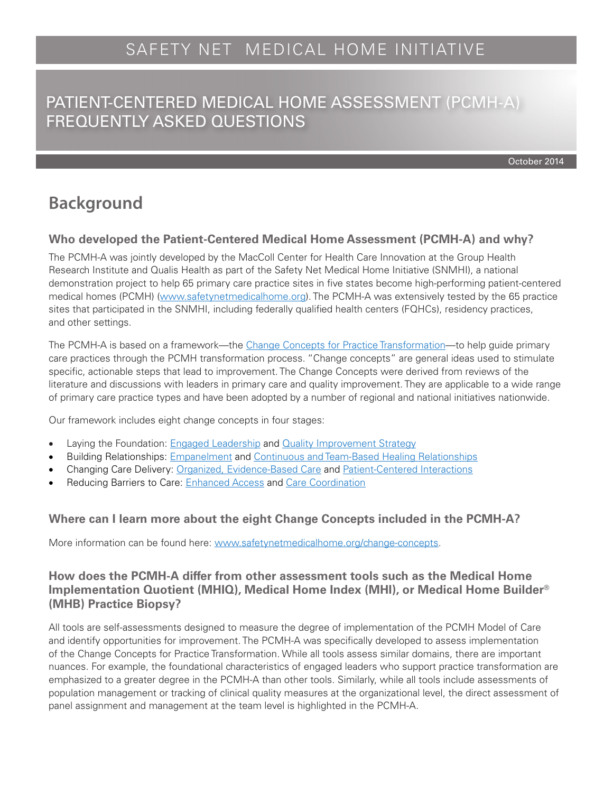October 2014

# **Background**

## **Who developed the Patient-Centered Medical Home Assessment (PCMH-A) and why?**

The PCMH-A was jointly developed by the MacColl Center for Health Care Innovation at the Group Health Research Institute and Qualis Health as part of the Safety Net Medical Home Initiative (SNMHI), a national demonstration project to help 65 primary care practice sites in five states become high-performing patient-centered medical homes (PCMH) ([www.safetynetmedicalhome.org](http://www.safetynetmedicalhome.org)). The PCMH-A was extensively tested by the 65 practice sites that participated in the SNMHI, including federally qualified health centers (FQHCs), residency practices, and other settings.

The PCMH-A is based on a framework—the [Change Concepts for Practice Transformation](http://www.safetynetmedicalhome.org/change-concepts)—to help guide primary care practices through the PCMH transformation process. "Change concepts" are general ideas used to stimulate specific, actionable steps that lead to improvement. The Change Concepts were derived from reviews of the literature and discussions with leaders in primary care and quality improvement. They are applicable to a wide range of primary care practice types and have been adopted by a number of regional and national initiatives nationwide.

Our framework includes eight change concepts in four stages:

- Laying the Foundation: [Engaged Leadership](http://www.safetynetmedicalhome.org/change-concepts/engaged-leadership) and [Quality Improvement Strategy](http://www.safetynetmedicalhome.org/change-concepts/quality-improvement-strategy)
- Building Relationships: [Empanelment](http://www.safetynetmedicalhome.org/change-concepts/empanelment) and [Continuous and Team-Based Healing Relationships](http://www.safetynetmedicalhome.org/change-concepts/continuous-team-based-healing-relationships)
- Changing Care Delivery: [Organized, Evidence-Based Care](http://www.safetynetmedicalhome.org/change-concepts/organized-evidence-based-care) and [Patient-Centered Interactions](http://www.safetynetmedicalhome.org/change-concepts/patient-centered-interactions)
- Reducing Barriers to Care: **[Enhanced Access](http://www.safetynetmedicalhome.org/change-concepts/enhanced-access) and [Care Coordination](http://www.safetynetmedicalhome.org/change-concepts/care-coordination)**

## **Where can I learn more about the eight Change Concepts included in the PCMH-A?**

More information can be found here: [www.safetynetmedicalhome.org/change-concepts.](http://www.safetynetmedicalhome.org/change-concepts)

## **How does the PCMH-A differ from other assessment tools such as the Medical Home Implementation Quotient (MHIQ), Medical Home Index (MHI), or Medical Home Builder® (MHB) Practice Biopsy?**

All tools are self-assessments designed to measure the degree of implementation of the PCMH Model of Care and identify opportunities for improvement. The PCMH-A was specifically developed to assess implementation of the Change Concepts for Practice Transformation. While all tools assess similar domains, there are important nuances. For example, the foundational characteristics of engaged leaders who support practice transformation are emphasized to a greater degree in the PCMH-A than other tools. Similarly, while all tools include assessments of population management or tracking of clinical quality measures at the organizational level, the direct assessment of panel assignment and management at the team level is highlighted in the PCMH-A.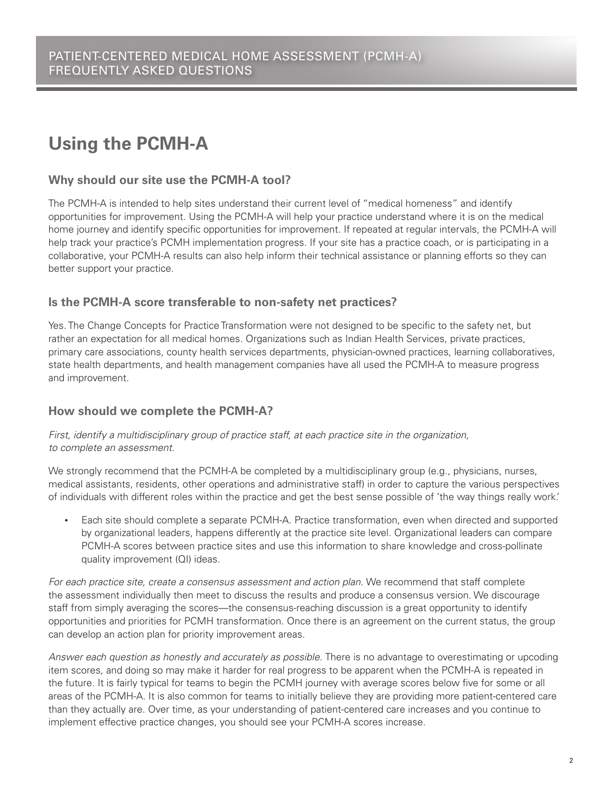# **Using the PCMH-A**

### **Why should our site use the PCMH-A tool?**

The PCMH-A is intended to help sites understand their current level of "medical homeness" and identify opportunities for improvement. Using the PCMH-A will help your practice understand where it is on the medical home journey and identify specific opportunities for improvement. If repeated at regular intervals, the PCMH-A will help track your practice's PCMH implementation progress. If your site has a practice coach, or is participating in a collaborative, your PCMH-A results can also help inform their technical assistance or planning efforts so they can better support your practice.

## **Is the PCMH-A score transferable to non-safety net practices?**

Yes. The Change Concepts for Practice Transformation were not designed to be specific to the safety net, but rather an expectation for all medical homes. Organizations such as Indian Health Services, private practices, primary care associations, county health services departments, physician-owned practices, learning collaboratives, state health departments, and health management companies have all used the PCMH-A to measure progress and improvement.

## **How should we complete the PCMH-A?**

*First, identify a multidisciplinary group of practice staff, at each practice site in the organization, to complete an assessment.*

We strongly recommend that the PCMH-A be completed by a multidisciplinary group (e.g., physicians, nurses, medical assistants, residents, other operations and administrative staff) in order to capture the various perspectives of individuals with different roles within the practice and get the best sense possible of 'the way things really work.'

Each site should complete a separate PCMH-A. Practice transformation, even when directed and supported by organizational leaders, happens differently at the practice site level. Organizational leaders can compare PCMH-A scores between practice sites and use this information to share knowledge and cross-pollinate quality improvement (QI) ideas.

For each practice site, create a consensus assessment and action plan. We recommend that staff complete the assessment individually then meet to discuss the results and produce a consensus version. We discourage staff from simply averaging the scores—the consensus-reaching discussion is a great opportunity to identify opportunities and priorities for PCMH transformation. Once there is an agreement on the current status, the group can develop an action plan for priority improvement areas.

*Answer each question as honestly and accurately as possible.* There is no advantage to overestimating or upcoding item scores, and doing so may make it harder for real progress to be apparent when the PCMH-A is repeated in the future. It is fairly typical for teams to begin the PCMH journey with average scores below five for some or all areas of the PCMH-A. It is also common for teams to initially believe they are providing more patient-centered care than they actually are. Over time, as your understanding of patient-centered care increases and you continue to implement effective practice changes, you should see your PCMH-A scores increase.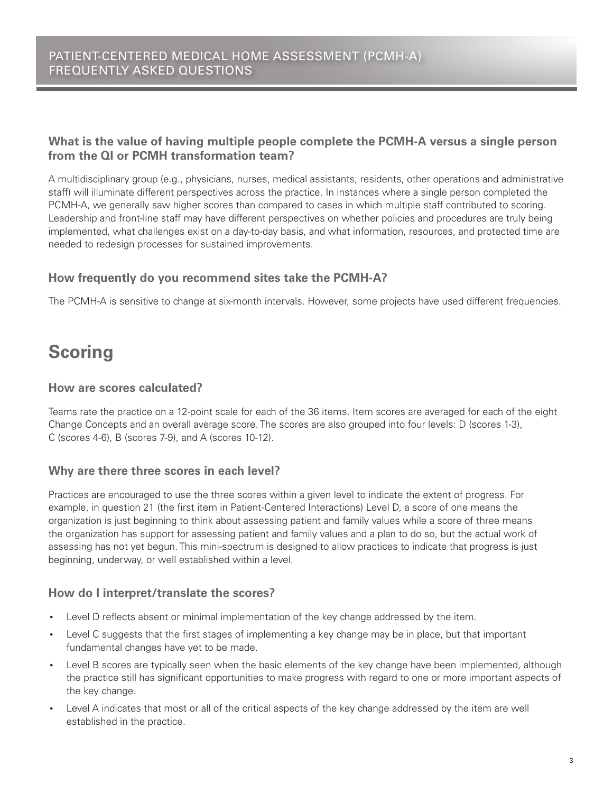# **What is the value of having multiple people complete the PCMH-A versus a single person from the QI or PCMH transformation team?**

A multidisciplinary group (e.g., physicians, nurses, medical assistants, residents, other operations and administrative staff) will illuminate different perspectives across the practice. In instances where a single person completed the PCMH-A, we generally saw higher scores than compared to cases in which multiple staff contributed to scoring. Leadership and front-line staff may have different perspectives on whether policies and procedures are truly being implemented, what challenges exist on a day-to-day basis, and what information, resources, and protected time are needed to redesign processes for sustained improvements.

## **How frequently do you recommend sites take the PCMH-A?**

The PCMH-A is sensitive to change at six-month intervals. However, some projects have used different frequencies.

# **Scoring**

#### **How are scores calculated?**

Teams rate the practice on a 12-point scale for each of the 36 items. Item scores are averaged for each of the eight Change Concepts and an overall average score. The scores are also grouped into four levels: D (scores 1-3), C (scores 4-6), B (scores 7-9), and A (scores 10-12).

#### **Why are there three scores in each level?**

Practices are encouraged to use the three scores within a given level to indicate the extent of progress. For example, in question 21 (the first item in Patient-Centered Interactions) Level D, a score of one means the organization is just beginning to think about assessing patient and family values while a score of three means the organization has support for assessing patient and family values and a plan to do so, but the actual work of assessing has not yet begun. This mini-spectrum is designed to allow practices to indicate that progress is just beginning, underway, or well established within a level.

#### **How do I interpret/translate the scores?**

- Level D reflects absent or minimal implementation of the key change addressed by the item.
- Level C suggests that the first stages of implementing a key change may be in place, but that important fundamental changes have yet to be made.
- Level B scores are typically seen when the basic elements of the key change have been implemented, although the practice still has significant opportunities to make progress with regard to one or more important aspects of the key change.
- Level A indicates that most or all of the critical aspects of the key change addressed by the item are well established in the practice.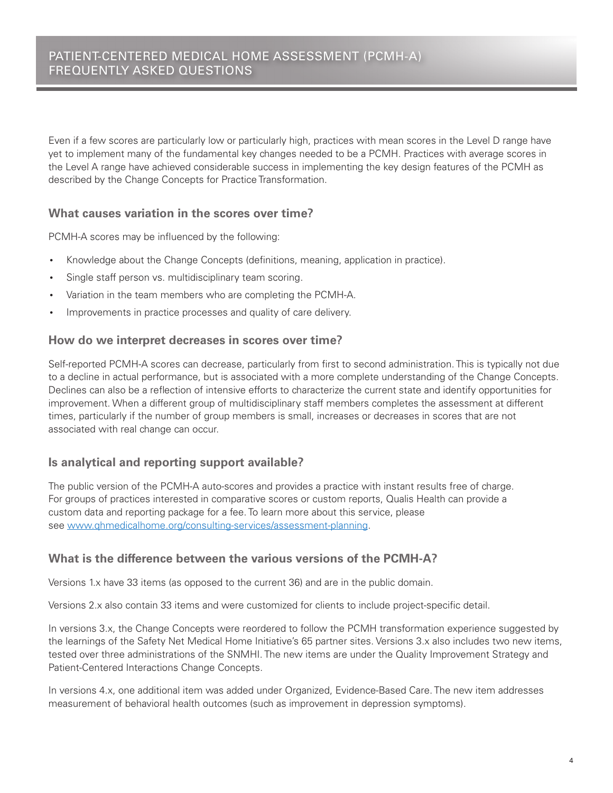Even if a few scores are particularly low or particularly high, practices with mean scores in the Level D range have yet to implement many of the fundamental key changes needed to be a PCMH. Practices with average scores in the Level A range have achieved considerable success in implementing the key design features of the PCMH as described by the Change Concepts for Practice Transformation.

### **What causes variation in the scores over time?**

PCMH-A scores may be influenced by the following:

- Knowledge about the Change Concepts (definitions, meaning, application in practice).
- Single staff person vs. multidisciplinary team scoring.
- Variation in the team members who are completing the PCMH-A.
- Improvements in practice processes and quality of care delivery.

#### **How do we interpret decreases in scores over time?**

Self-reported PCMH-A scores can decrease, particularly from first to second administration. This is typically not due to a decline in actual performance, but is associated with a more complete understanding of the Change Concepts. Declines can also be a reflection of intensive efforts to characterize the current state and identify opportunities for improvement. When a different group of multidisciplinary staff members completes the assessment at different times, particularly if the number of group members is small, increases or decreases in scores that are not associated with real change can occur.

#### **Is analytical and reporting support available?**

The public version of the PCMH-A auto-scores and provides a practice with instant results free of charge. For groups of practices interested in comparative scores or custom reports, Qualis Health can provide a custom data and reporting package for a fee. To learn more about this service, please see [www.qhmedicalhome.org/consulting-services/assessment-planning.](http://www.qhmedicalhome.org/consulting-services/assessment-planning)

#### **What is the difference between the various versions of the PCMH-A?**

Versions 1.x have 33 items (as opposed to the current 36) and are in the public domain.

Versions 2.x also contain 33 items and were customized for clients to include project-specific detail.

In versions 3.x, the Change Concepts were reordered to follow the PCMH transformation experience suggested by the learnings of the Safety Net Medical Home Initiative's 65 partner sites. Versions 3.x also includes two new items, tested over three administrations of the SNMHI. The new items are under the Quality Improvement Strategy and Patient-Centered Interactions Change Concepts.

In versions 4.x, one additional item was added under Organized, Evidence-Based Care. The new item addresses measurement of behavioral health outcomes (such as improvement in depression symptoms).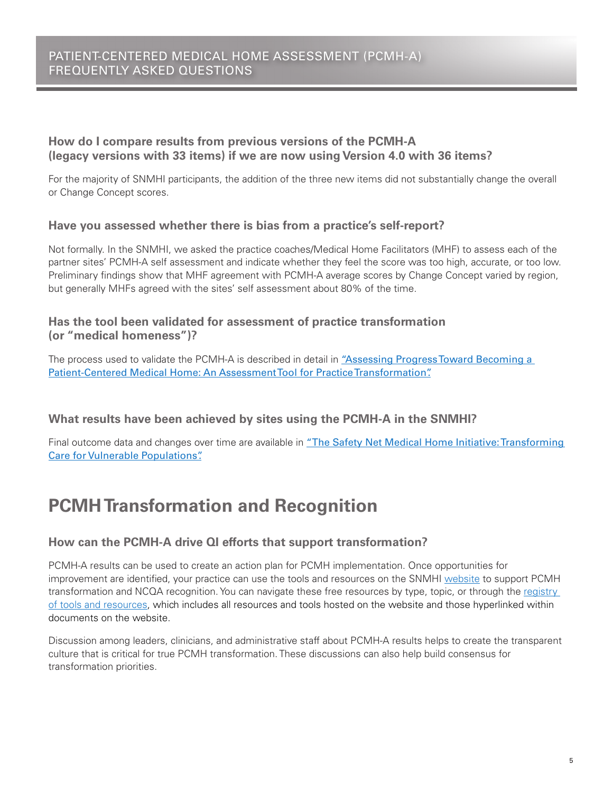# **How do I compare results from previous versions of the PCMH-A (legacy versions with 33 items) if we are now using Version 4.0 with 36 items?**

For the majority of SNMHI participants, the addition of the three new items did not substantially change the overall or Change Concept scores.

## **Have you assessed whether there is bias from a practice's self-report?**

Not formally. In the SNMHI, we asked the practice coaches/Medical Home Facilitators (MHF) to assess each of the partner sites' PCMH-A self assessment and indicate whether they feel the score was too high, accurate, or too low. Preliminary findings show that MHF agreement with PCMH-A average scores by Change Concept varied by region, but generally MHFs agreed with the sites' self assessment about 80% of the time.

## **Has the tool been validated for assessment of practice transformation (or "medical homeness")?**

The process used to validate the PCMH-A is described in detail in ["Assessing Progress Toward Becoming a](http://www.ncbi.nlm.nih.gov/pmc/articles/PMC3876398/)  [Patient-Centered Medical Home: An Assessment Tool for Practice Transformation".](http://www.ncbi.nlm.nih.gov/pmc/articles/PMC3876398/)

**What results have been achieved by sites using the PCMH-A in the SNMHI?** 

Final outcome data and changes over time are available in "The Safety Net Medical Home Initiative: Transforming [Care for Vulnerable Populations".](http://journals.lww.com/lww-medicalcare/Fulltext/2014/11001/The_Safety_Net_Medical_Home_Initiative_.3.aspx)

# **PCMH Transformation and Recognition**

## **How can the PCMH-A drive QI efforts that support transformation?**

PCMH-A results can be used to create an action plan for PCMH implementation. Once opportunities for improvement are identified, your practice can use the tools and resources on the SNMHI [website](http://www.safetynetmedicalhome.org/) to support PCMH transformation and NCQA recognition. You can navigate these free resources by type, topic, or through the registry [of tools and resources](http://www.safetynetmedicalhome.org/sites/default/files/All-Resources.xls), which includes all resources and tools hosted on the website and those hyperlinked within documents on the website.

Discussion among leaders, clinicians, and administrative staff about PCMH-A results helps to create the transparent culture that is critical for true PCMH transformation. These discussions can also help build consensus for transformation priorities.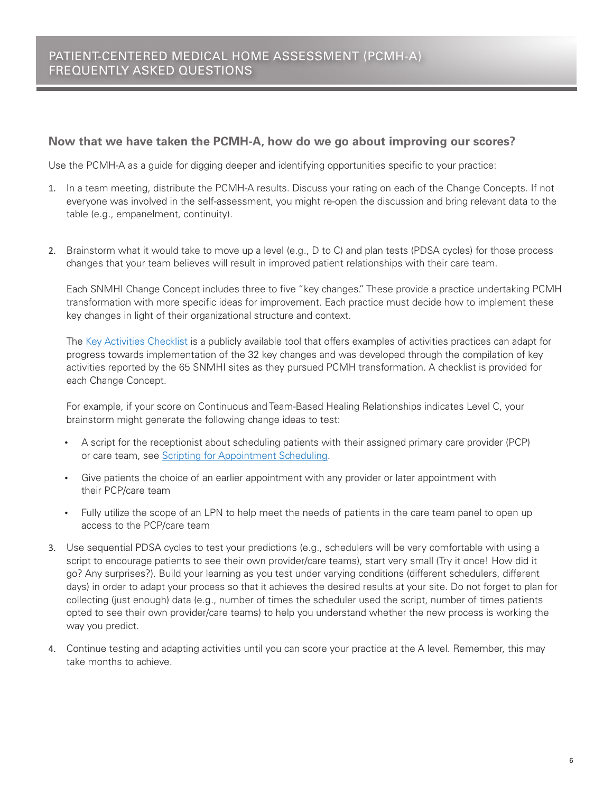#### **Now that we have taken the PCMH-A, how do we go about improving our scores?**

Use the PCMH-A as a guide for digging deeper and identifying opportunities specific to your practice:

- 1. In a team meeting, distribute the PCMH-A results. Discuss your rating on each of the Change Concepts. If not everyone was involved in the self-assessment, you might re-open the discussion and bring relevant data to the table (e.g., empanelment, continuity).
- 2. Brainstorm what it would take to move up a level (e.g., D to C) and plan tests (PDSA cycles) for those process changes that your team believes will result in improved patient relationships with their care team.

Each SNMHI Change Concept includes three to five "key changes." These provide a practice undertaking PCMH transformation with more specific ideas for improvement. Each practice must decide how to implement these key changes in light of their organizational structure and context.

The [Key Activities Checklist](http://www.coachmedicalhome.org/sites/default/files/coachmedicalhome.org/key-activities-checklist.xls) is a publicly available tool that offers examples of activities practices can adapt for progress towards implementation of the 32 key changes and was developed through the compilation of key activities reported by the 65 SNMHI sites as they pursued PCMH transformation. A checklist is provided for each Change Concept.

For example, if your score on Continuous and Team-Based Healing Relationships indicates Level C, your brainstorm might generate the following change ideas to test:

- A script for the receptionist about scheduling patients with their assigned primary care provider (PCP) or care team, see [Scripting for Appointment Scheduling](http://www.safetynetmedicalhome.org/sites/default/files/Scripting-Appointment-Scheduling.pdf).
- Give patients the choice of an earlier appointment with any provider or later appointment with their PCP/care team
- Fully utilize the scope of an LPN to help meet the needs of patients in the care team panel to open up access to the PCP/care team
- 3. Use sequential PDSA cycles to test your predictions (e.g., schedulers will be very comfortable with using a script to encourage patients to see their own provider/care teams), start very small (Try it once! How did it go? Any surprises?). Build your learning as you test under varying conditions (different schedulers, different days) in order to adapt your process so that it achieves the desired results at your site. Do not forget to plan for collecting (just enough) data (e.g., number of times the scheduler used the script, number of times patients opted to see their own provider/care teams) to help you understand whether the new process is working the way you predict.
- 4. Continue testing and adapting activities until you can score your practice at the A level. Remember, this may take months to achieve.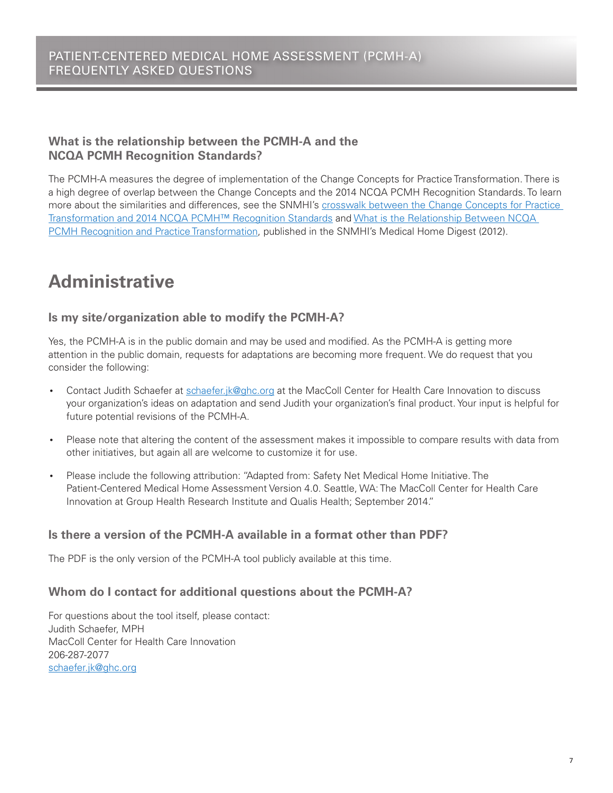# **What is the relationship between the PCMH-A and the NCQA PCMH Recognition Standards?**

The PCMH-A measures the degree of implementation of the Change Concepts for Practice Transformation. There is a high degree of overlap between the Change Concepts and the 2014 NCQA PCMH Recognition Standards. To learn more about the similarities and differences, see the SNMHI's [crosswalk between the Change Concepts for Practice](http://www.safetynetmedicalhome.org/sites/default/files/NCQA-Change-Concept-Crosswalk.pdf)  [Transformation and 2014 NCQA PCMH™ Recognition Standards](http://www.safetynetmedicalhome.org/sites/default/files/NCQA-Change-Concept-Crosswalk.pdf) an[d What is the Relationship Between NCQA](http://www.safetynetmedicalhome.org/sites/default/files/Medical-Home-Digest-Fall-2012.pdf#page=9)  [PCMH Recognition and Practice Transformation,](http://www.safetynetmedicalhome.org/sites/default/files/Medical-Home-Digest-Fall-2012.pdf#page=9) published in the SNMHI's Medical Home Digest (2012).

# **Administrative**

# **Is my site/organization able to modify the PCMH-A?**

Yes, the PCMH-A is in the public domain and may be used and modified. As the PCMH-A is getting more attention in the public domain, requests for adaptations are becoming more frequent. We do request that you consider the following:

- Contact Judith Schaefer at [schaefer.jk@ghc.org](mailto:schaefer.jk@ghc.org) at the MacColl Center for Health Care Innovation to discuss your organization's ideas on adaptation and send Judith your organization's final product. Your input is helpful for future potential revisions of the PCMH-A.
- Please note that altering the content of the assessment makes it impossible to compare results with data from other initiatives, but again all are welcome to customize it for use.
- Please include the following attribution: "Adapted from: Safety Net Medical Home Initiative. The Patient-Centered Medical Home Assessment Version 4.0. Seattle, WA: The MacColl Center for Health Care Innovation at Group Health Research Institute and Qualis Health; September 2014."

## **Is there a version of the PCMH-A available in a format other than PDF?**

The PDF is the only version of the PCMH-A tool publicly available at this time.

## **Whom do I contact for additional questions about the PCMH-A?**

For questions about the tool itself, please contact: Judith Schaefer, MPH MacColl Center for Health Care Innovation 206-287-2077 [schaefer.jk@ghc.org](mailto:schaefer.jk@ghc.org)